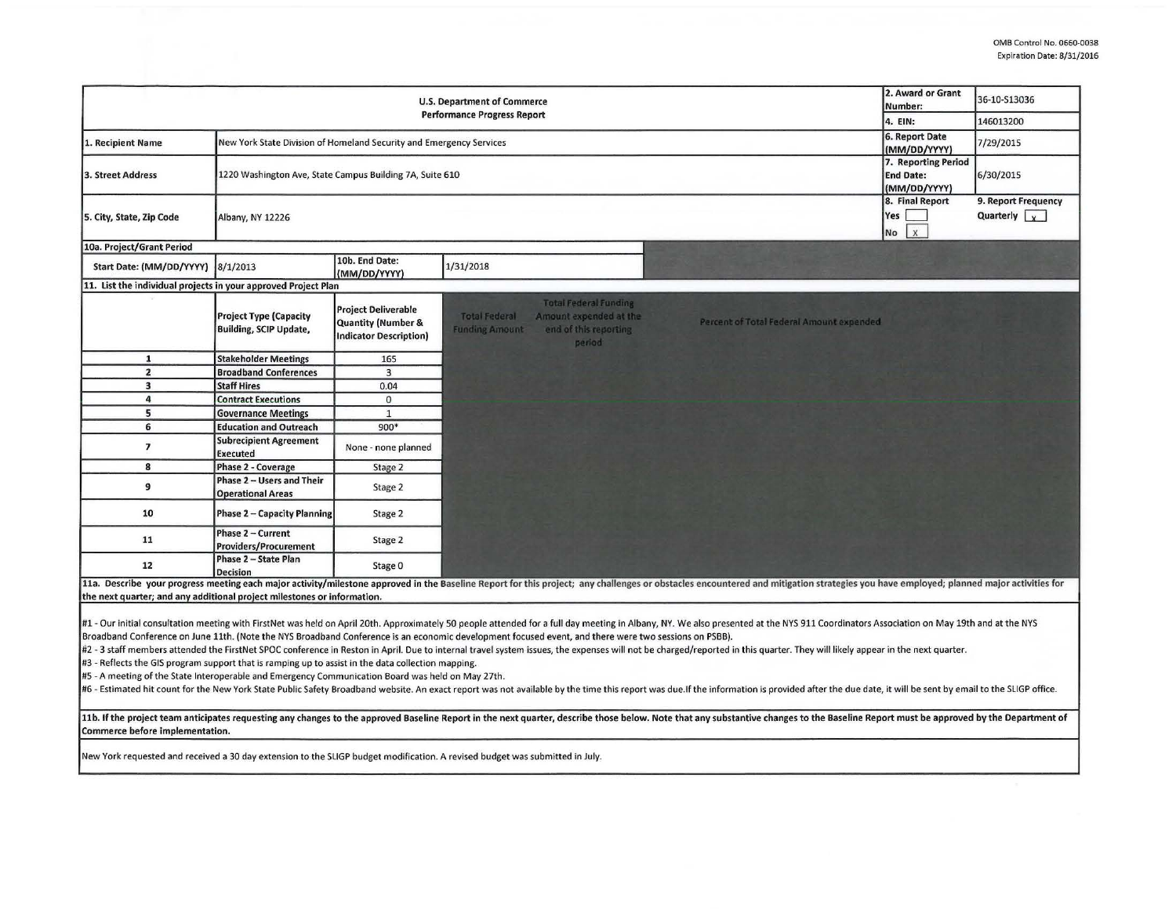|                                                                                                                                                                                                                                                                                                                                                                                       | 2. Award or Grant<br>Number:                                        | 36-10-S13036                                                                                 |                                                                                                                                            |                                                                                                                                                                                                                                |                                              |                                                      |  |  |  |  |  |
|---------------------------------------------------------------------------------------------------------------------------------------------------------------------------------------------------------------------------------------------------------------------------------------------------------------------------------------------------------------------------------------|---------------------------------------------------------------------|----------------------------------------------------------------------------------------------|--------------------------------------------------------------------------------------------------------------------------------------------|--------------------------------------------------------------------------------------------------------------------------------------------------------------------------------------------------------------------------------|----------------------------------------------|------------------------------------------------------|--|--|--|--|--|
| <b>Performance Progress Report</b>                                                                                                                                                                                                                                                                                                                                                    |                                                                     |                                                                                              |                                                                                                                                            |                                                                                                                                                                                                                                |                                              | 146013200                                            |  |  |  |  |  |
| 1. Recipient Name                                                                                                                                                                                                                                                                                                                                                                     | New York State Division of Homeland Security and Emergency Services | 6. Report Date<br>(MM/DD/YYYY)                                                               | 7/29/2015                                                                                                                                  |                                                                                                                                                                                                                                |                                              |                                                      |  |  |  |  |  |
| 3. Street Address                                                                                                                                                                                                                                                                                                                                                                     | 1220 Washington Ave, State Campus Building 7A, Suite 610            | 7. Reporting Period<br><b>End Date:</b><br>(MM/DD/YYYY)                                      | 6/30/2015                                                                                                                                  |                                                                                                                                                                                                                                |                                              |                                                      |  |  |  |  |  |
| 5. City, State, Zip Code                                                                                                                                                                                                                                                                                                                                                              | Albany, NY 12226                                                    |                                                                                              |                                                                                                                                            |                                                                                                                                                                                                                                | 8. Final Report<br>Yes<br>$\mathsf{x}$<br>No | 9. Report Frequency<br>Quarterly $\vert \cdot \vert$ |  |  |  |  |  |
| 10a. Project/Grant Period                                                                                                                                                                                                                                                                                                                                                             |                                                                     |                                                                                              |                                                                                                                                            |                                                                                                                                                                                                                                |                                              |                                                      |  |  |  |  |  |
| Start Date: (MM/DD/YYYY)                                                                                                                                                                                                                                                                                                                                                              | 8/1/2013                                                            | 10b. End Date:<br>(MM/DD/YYYY)                                                               | 1/31/2018                                                                                                                                  |                                                                                                                                                                                                                                |                                              |                                                      |  |  |  |  |  |
| 11. List the individual projects in your approved Project Plan                                                                                                                                                                                                                                                                                                                        |                                                                     |                                                                                              |                                                                                                                                            |                                                                                                                                                                                                                                |                                              |                                                      |  |  |  |  |  |
|                                                                                                                                                                                                                                                                                                                                                                                       | <b>Project Type (Capacity</b><br><b>Building, SCIP Update,</b>      | <b>Project Deliverable</b><br><b>Quantity (Number &amp;</b><br><b>Indicator Description)</b> | <b>Total Federal Funding</b><br><b>Total Federal</b><br>Amount expended at the<br><b>Funding Amount</b><br>end of this reporting<br>period | Percent of Total Federal Amount expended                                                                                                                                                                                       |                                              |                                                      |  |  |  |  |  |
| $\mathbf{1}$                                                                                                                                                                                                                                                                                                                                                                          | <b>Stakeholder Meetings</b>                                         | 165                                                                                          |                                                                                                                                            |                                                                                                                                                                                                                                |                                              |                                                      |  |  |  |  |  |
| $\mathbf{2}$                                                                                                                                                                                                                                                                                                                                                                          | <b>Broadband Conferences</b>                                        | $\overline{3}$                                                                               |                                                                                                                                            |                                                                                                                                                                                                                                |                                              |                                                      |  |  |  |  |  |
| $\overline{\mathbf{3}}$                                                                                                                                                                                                                                                                                                                                                               | <b>Staff Hires</b>                                                  | 0.04                                                                                         |                                                                                                                                            |                                                                                                                                                                                                                                |                                              |                                                      |  |  |  |  |  |
| 4                                                                                                                                                                                                                                                                                                                                                                                     | <b>Contract Executions</b>                                          | $\mathbf{0}$                                                                                 |                                                                                                                                            |                                                                                                                                                                                                                                |                                              |                                                      |  |  |  |  |  |
| 5                                                                                                                                                                                                                                                                                                                                                                                     | <b>Governance Meetings</b>                                          | $\mathbf{1}$                                                                                 |                                                                                                                                            |                                                                                                                                                                                                                                |                                              |                                                      |  |  |  |  |  |
| 6                                                                                                                                                                                                                                                                                                                                                                                     | <b>Education and Outreach</b>                                       | 900*                                                                                         |                                                                                                                                            |                                                                                                                                                                                                                                |                                              |                                                      |  |  |  |  |  |
| $\overline{\phantom{a}}$                                                                                                                                                                                                                                                                                                                                                              | <b>Subrecipient Agreement</b><br><b>Executed</b>                    | None - none planned                                                                          |                                                                                                                                            |                                                                                                                                                                                                                                |                                              |                                                      |  |  |  |  |  |
| 8                                                                                                                                                                                                                                                                                                                                                                                     | <b>Phase 2 - Coverage</b>                                           | Stage 2                                                                                      |                                                                                                                                            |                                                                                                                                                                                                                                |                                              |                                                      |  |  |  |  |  |
| 9                                                                                                                                                                                                                                                                                                                                                                                     | Phase 2 - Users and Their<br><b>Operational Areas</b>               | Stage 2                                                                                      |                                                                                                                                            |                                                                                                                                                                                                                                |                                              |                                                      |  |  |  |  |  |
| 10                                                                                                                                                                                                                                                                                                                                                                                    | <b>Phase 2 - Capacity Planning</b>                                  | Stage 2                                                                                      |                                                                                                                                            |                                                                                                                                                                                                                                |                                              |                                                      |  |  |  |  |  |
| 11                                                                                                                                                                                                                                                                                                                                                                                    | Phase 2 - Current<br><b>Providers/Procurement</b>                   | Stage 2                                                                                      |                                                                                                                                            |                                                                                                                                                                                                                                |                                              |                                                      |  |  |  |  |  |
| 12                                                                                                                                                                                                                                                                                                                                                                                    | Phase 2 - State Plan<br><b>Decision</b>                             | Stage 0                                                                                      |                                                                                                                                            |                                                                                                                                                                                                                                |                                              |                                                      |  |  |  |  |  |
|                                                                                                                                                                                                                                                                                                                                                                                       |                                                                     |                                                                                              |                                                                                                                                            | 11a. Describe your progress meeting each major activity/milestone approved in the Baseline Report for this project; any challenges or obstacles encountered and mitigation strategies you have employed; planned major activit |                                              |                                                      |  |  |  |  |  |
| the next quarter; and any additional project milestones or information.                                                                                                                                                                                                                                                                                                               |                                                                     |                                                                                              |                                                                                                                                            |                                                                                                                                                                                                                                |                                              |                                                      |  |  |  |  |  |
| #1 - Our initial consultation meeting with FirstNet was held on April 20th. Approximately 50 people attended for a full day meeting in Albany, NY. We also presented at the NYS 911 Coordinators Association on May 19th and a                                                                                                                                                        |                                                                     |                                                                                              |                                                                                                                                            |                                                                                                                                                                                                                                |                                              |                                                      |  |  |  |  |  |
| Broadband Conference on June 11th. (Note the NYS Broadband Conference is an economic development focused event, and there were two sessions on PSBB).<br>#2 - 3 staff members attended the FirstNet SPOC conference in Reston in April. Due to internal travel system issues, the expenses will not be charged/reported in this quarter. They will likely appear in the next quarter. |                                                                     |                                                                                              |                                                                                                                                            |                                                                                                                                                                                                                                |                                              |                                                      |  |  |  |  |  |
| #3 - Reflects the GIS program support that is ramping up to assist in the data collection mapping.                                                                                                                                                                                                                                                                                    |                                                                     |                                                                                              |                                                                                                                                            |                                                                                                                                                                                                                                |                                              |                                                      |  |  |  |  |  |
|                                                                                                                                                                                                                                                                                                                                                                                       |                                                                     |                                                                                              |                                                                                                                                            |                                                                                                                                                                                                                                |                                              |                                                      |  |  |  |  |  |
| #5 - A meeting of the State Interoperable and Emergency Communication Board was held on May 27th.<br>#6 - Estimated hit count for the New York State Public Safety Broadband website. An exact report was not available by the time this report was due.If the information is provided after the due date, it will be sent by email                                                   |                                                                     |                                                                                              |                                                                                                                                            |                                                                                                                                                                                                                                |                                              |                                                      |  |  |  |  |  |
| 11b. If the project team anticipates requesting any changes to the approved Baseline Report in the next quarter, describe those below. Note that any substantive changes to the Baseline Report must be approved by the Depart<br>Commerce before implementation.                                                                                                                     |                                                                     |                                                                                              |                                                                                                                                            |                                                                                                                                                                                                                                |                                              |                                                      |  |  |  |  |  |
| New York requested and received a 30 day extension to the SLIGP budget modification. A revised budget was submitted in July.                                                                                                                                                                                                                                                          |                                                                     |                                                                                              |                                                                                                                                            |                                                                                                                                                                                                                                |                                              |                                                      |  |  |  |  |  |
|                                                                                                                                                                                                                                                                                                                                                                                       |                                                                     |                                                                                              |                                                                                                                                            |                                                                                                                                                                                                                                |                                              |                                                      |  |  |  |  |  |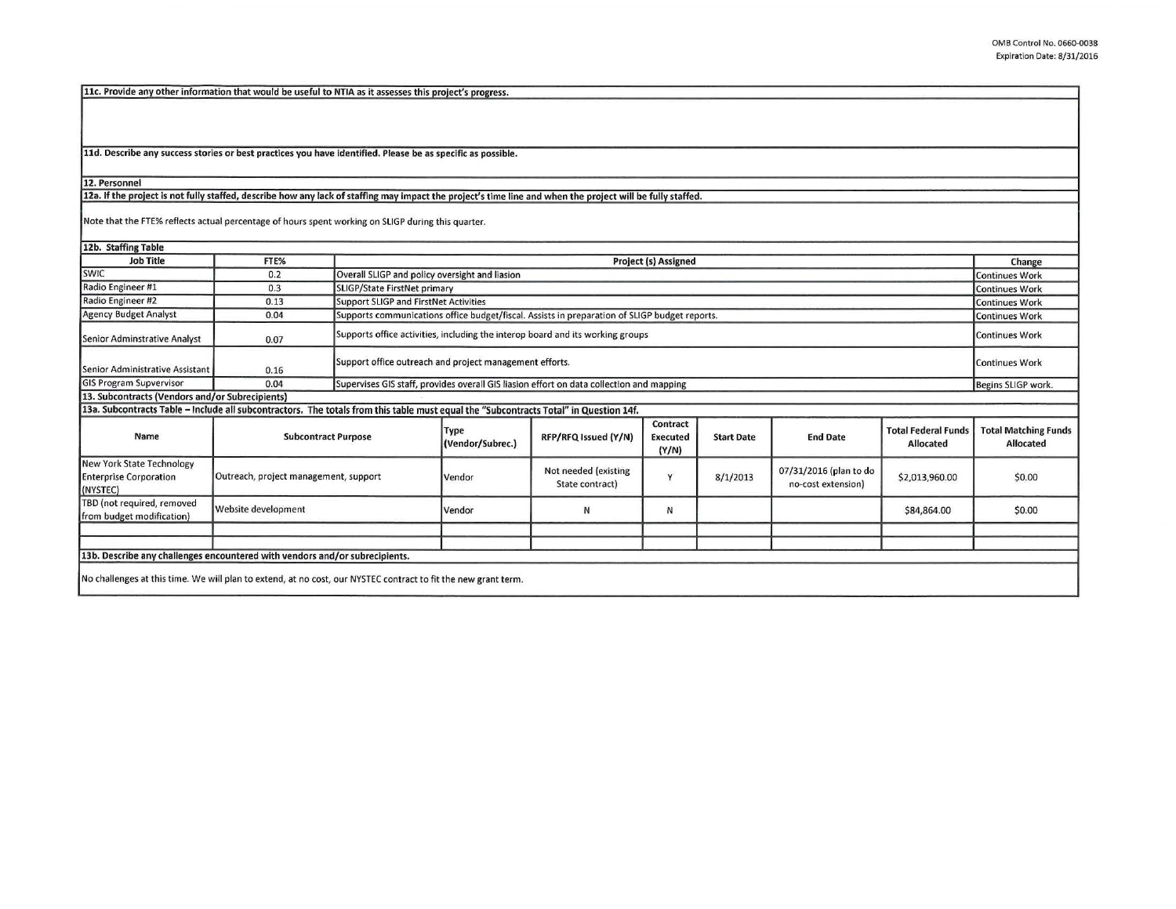11c. Provide any other information that would be useful to NTIA as it assesses this project's progress.

11d. Describe any success stories or best practices you have identified. Please be as specific as possible.

12. Personnel

12a. If the project is not fully staffed, describe how any lack of staffing may impact the project's time line and when the project will be fully staffed.

Note that the FTE% reflects actual percentage of hours spent working on SUGP during this quarter.

12b. Staffing Table Job Title FTE% Project (s) Assigned SWIC 0.2 Overall SLIGP and policy oversight and liasion Radio Engineer #1 0.3 SLIGP/State FirstNet primary Radio Engineer #2 0.13 Support SLIGP and First Net Activities Agency Budget Analyst 0.04 Supports communications office budget/fiscal. Assists in preparation of SLIGP budget reports. Senior Adminstrative Analyst **O.D. A. Supports office activities**, including the interop board and its working groups Senior Administrative Assistant 0.16 Support office outreach and project management efforts. GIS Program Supvervisor 0.04 Supervises GIS staff, provides overall GIS liasion effort on data collection and mapping 13. Subcontracts (Vendors and/or Subrecipients) 13a. Subcontracts Table - Include all subcontractors. The totals from this table must equal the "Subcontracts Total" in Question 14f. Name Subcontract Purpose Type RFP/RFQ Issued (Y/N) Contract Start Date (Y/N) New York State Technology<br>
Enterprise Corporation Outreach, project management, support Vendor Not needed (existing y 8/1/2013<br>
(NYSTEC) State contract) NYSTEC) State contract) TBD (not required, removed Website development Vendor N N from budget modification) 13b. Describe any challenges encountered with vendors and/or subrecipients. No challenges at this time. We will plan to extend, at no cost, our NYSTEC contract to fit the new grant term. - ---- End Date **Total Federal Funds** 07/31/2016 (plan to do \$2,013,960.00 no-cost extension) \$84,864.00 Change Continues Work Continues Work Continues Work Continues Work Continues Work Continues Work Begins SLIGP work. Total Matching Funds Allocated \$0.00 \$0.00